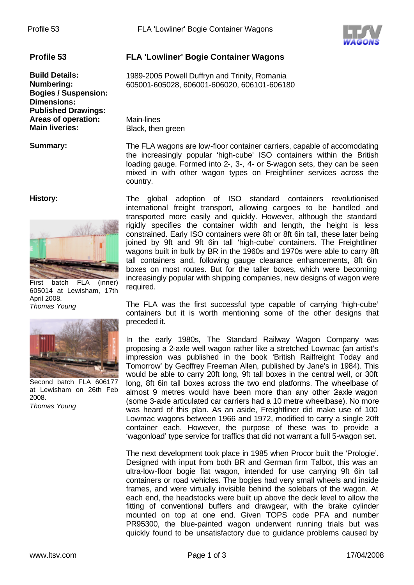

**Bogies / Suspension: Dimensions: Published Drawings: Areas of operation:** Main-lines

## **History:**



First batch FLA (inner) 605014 at Lewisham, 17th April 2008. *Thomas Young*



Second batch FLA 606177 at Lewisham on 26th Feb 2008. *Thomas Young*

## **Profile 53 FLA 'Lowliner' Bogie Container Wagons**

**Build Details:** 1989-2005 Powell Duffryn and Trinity, Romania **Numbering:** 605001-605028, 606001-606020, 606101-606180

**Black, then green** 

**Summary:** The FLA wagons are low-floor container carriers, capable of accomodating the increasingly popular 'high-cube' ISO containers within the British loading gauge. Formed into 2-, 3-, 4- or 5-wagon sets, they can be seen mixed in with other wagon types on Freightliner services across the country.

> The global adoption of ISO standard containers revolutionised international freight transport, allowing cargoes to be handled and transported more easily and quickly. However, although the standard rigidly specifies the container width and length, the height is less constrained. Early ISO containers were 8ft or 8ft 6in tall, these later being joined by 9ft and 9ft 6in tall 'high-cube' containers. The Freightliner wagons built in bulk by BR in the 1960s and 1970s were able to carry 8ft tall containers and, following gauge clearance enhancements, 8ft 6in boxes on most routes. But for the taller boxes, which were becoming increasingly popular with shipping companies, new designs of wagon were required.

> The FLA was the first successful type capable of carrying 'high-cube' containers but it is worth mentioning some of the other designs that preceded it.

> In the early 1980s, The Standard Railway Wagon Company was proposing a 2-axle well wagon rather like a stretched Lowmac (an artist's impression was published in the book 'British Railfreight Today and Tomorrow' by Geoffrey Freeman Allen, published by Jane's in 1984). This would be able to carry 20ft long, 9ft tall boxes in the central well, or 30ft long, 8ft 6in tall boxes across the two end platforms. The wheelbase of almost 9 metres would have been more than any other 2-axle wagon (some 3-axle articulated car carriers had a 10 metre wheelbase). No more was heard of this plan. As an aside, Freightliner did make use of 100 Lowmac wagons between 1966 and 1972, modified to carry a single 20ft container each. However, the purpose of these was to provide a 'wagonload' type service for traffics that did not warrant a full 5-wagon set.

> The next development took place in 1985 when Procor built the 'Prologie'. Designed with input from both BR and German firm Talbot, this was an ultra-low-floor bogie flat wagon, intended for use carrying 9ft 6in tall containers or road vehicles. The bogies had very small wheels and inside frames, and were virtually invisible behind the solebars of the wagon. At each end, the headstocks were built up above the deck level to allow the fitting of conventional buffers and drawgear, with the brake cylinder mounted on top at one end. Given TOPS code PFA and number PR95300, the blue-painted wagon underwent running trials but was quickly found to be unsatisfactory due to guidance problems caused by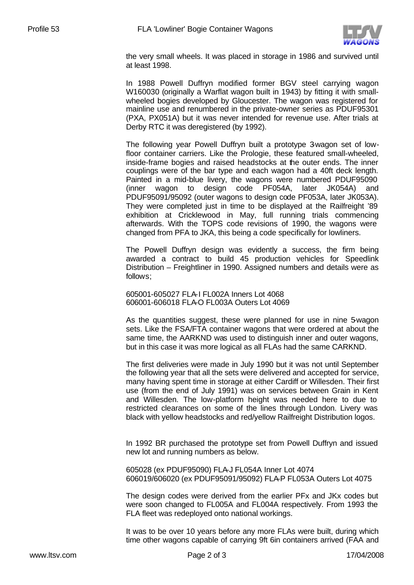

the very small wheels. It was placed in storage in 1986 and survived until at least 1998.

In 1988 Powell Duffryn modified former BGV steel carrying wagon W160030 (originally a Warflat wagon built in 1943) by fitting it with smallwheeled bogies developed by Gloucester. The wagon was registered for mainline use and renumbered in the private-owner series as PDUF95301 (PXA, PX051A) but it was never intended for revenue use. After trials at Derby RTC it was deregistered (by 1992).

The following year Powell Duffryn built a prototype 3-wagon set of lowfloor container carriers. Like the Prologie, these featured small-wheeled, inside-frame bogies and raised headstocks at the outer ends. The inner couplings were of the bar type and each wagon had a 40ft deck length. Painted in a mid-blue livery, the wagons were numbered PDUF95090 (inner wagon to design code PF054A, later JK054A) and PDUF95091/95092 (outer wagons to design code PF053A, later JK053A). They were completed just in time to be displayed at the Railfreight '89 exhibition at Cricklewood in May, full running trials commencing afterwards. With the TOPS code revisions of 1990, the wagons were changed from PFA to JKA, this being a code specifically for lowliners.

The Powell Duffryn design was evidently a success, the firm being awarded a contract to build 45 production vehicles for Speedlink Distribution – Freightliner in 1990. Assigned numbers and details were as follows;

605001-605027 FLA-I FL002A Inners Lot 4068 606001-606018 FLA-O FL003A Outers Lot 4069

As the quantities suggest, these were planned for use in nine 5-wagon sets. Like the FSA/FTA container wagons that were ordered at about the same time, the AARKND was used to distinguish inner and outer wagons, but in this case it was more logical as all FLAs had the same CARKND.

The first deliveries were made in July 1990 but it was not until September the following year that all the sets were delivered and accepted for service, many having spent time in storage at either Cardiff or Willesden. Their first use (from the end of July 1991) was on services between Grain in Kent and Willesden. The low-platform height was needed here to due to restricted clearances on some of the lines through London. Livery was black with yellow headstocks and red/yellow Railfreight Distribution logos.

In 1992 BR purchased the prototype set from Powell Duffryn and issued new lot and running numbers as below.

605028 (ex PDUF95090) FLA-J FL054A Inner Lot 4074 606019/606020 (ex PDUF95091/95092) FLA-P FL053A Outers Lot 4075

The design codes were derived from the earlier PFx and JKx codes but were soon changed to FL005A and FL004A respectively. From 1993 the FLA fleet was redeployed onto national workings.

It was to be over 10 years before any more FLAs were built, during which time other wagons capable of carrying 9ft 6in containers arrived (FAA and